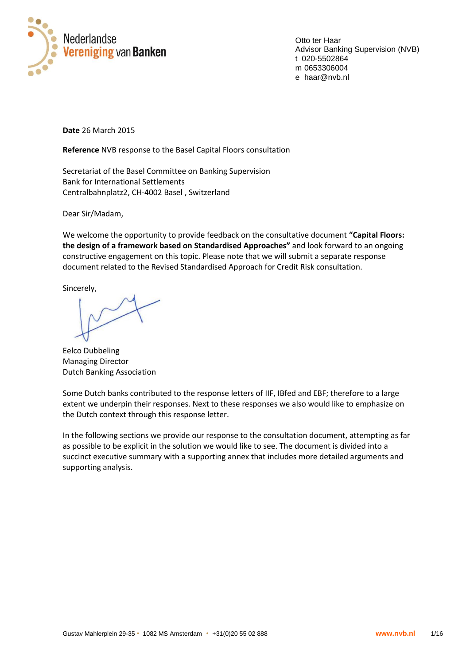

Otto ter Haar Advisor Banking Supervision (NVB) t 020-5502864 m 0653306004 e haar@nvb.nl

**Date** 26 March 2015

**Reference** NVB response to the Basel Capital Floors consultation

Secretariat of the Basel Committee on Banking Supervision Bank for International Settlements Centralbahnplatz2, CH-4002 Basel , Switzerland

Dear Sir/Madam,

We welcome the opportunity to provide feedback on the consultative document **"Capital Floors: the design of a framework based on Standardised Approaches"** and look forward to an ongoing constructive engagement on this topic. Please note that we will submit a separate response document related to the Revised Standardised Approach for Credit Risk consultation.

Sincerely,

Eelco Dubbeling Managing Director Dutch Banking Association

Some Dutch banks contributed to the response letters of IIF, IBfed and EBF; therefore to a large extent we underpin their responses. Next to these responses we also would like to emphasize on the Dutch context through this response letter.

In the following sections we provide our response to the consultation document, attempting as far as possible to be explicit in the solution we would like to see. The document is divided into a succinct executive summary with a supporting annex that includes more detailed arguments and supporting analysis.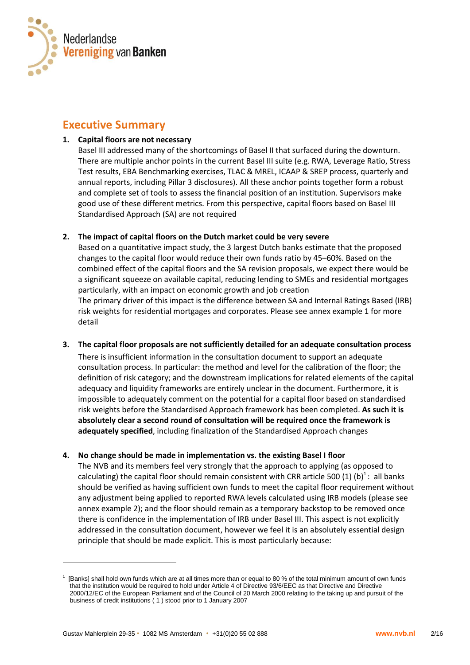

# **Executive Summary**

# **1. Capital floors are not necessary**

Basel III addressed many of the shortcomings of Basel II that surfaced during the downturn. There are multiple anchor points in the current Basel III suite (e.g. RWA, Leverage Ratio, Stress Test results, EBA Benchmarking exercises, TLAC & MREL, ICAAP & SREP process, quarterly and annual reports, including Pillar 3 disclosures). All these anchor points together form a robust and complete set of tools to assess the financial position of an institution. Supervisors make good use of these different metrics. From this perspective, capital floors based on Basel III Standardised Approach (SA) are not required

# **2. The impact of capital floors on the Dutch market could be very severe**

Based on a quantitative impact study, the 3 largest Dutch banks estimate that the proposed changes to the capital floor would reduce their own funds ratio by 45–60%. Based on the combined effect of the capital floors and the SA revision proposals, we expect there would be a significant squeeze on available capital, reducing lending to SMEs and residential mortgages particularly, with an impact on economic growth and job creation

The primary driver of this impact is the difference between SA and Internal Ratings Based (IRB) risk weights for residential mortgages and corporates. Please see annex example 1 for more detail

**3. The capital floor proposals are not sufficiently detailed for an adequate consultation process**  There is insufficient information in the consultation document to support an adequate consultation process. In particular: the method and level for the calibration of the floor; the definition of risk category; and the downstream implications for related elements of the capital adequacy and liquidity frameworks are entirely unclear in the document. Furthermore, it is impossible to adequately comment on the potential for a capital floor based on standardised risk weights before the Standardised Approach framework has been completed. **As such it is absolutely clear a second round of consultation will be required once the framework is adequately specified**, including finalization of the Standardised Approach changes

# **4. No change should be made in implementation vs. the existing Basel I floor**

The NVB and its members feel very strongly that the approach to applying (as opposed to calculating) the capital floor should remain consistent with CRR article 500 (1) (b)<sup>1</sup>: all banks should be verified as having sufficient own funds to meet the capital floor requirement without any adjustment being applied to reported RWA levels calculated using IRB models (please see annex example 2); and the floor should remain as a temporary backstop to be removed once there is confidence in the implementation of IRB under Basel III. This aspect is not explicitly addressed in the consultation document, however we feel it is an absolutely essential design principle that should be made explicit. This is most particularly because:

1

<sup>1</sup> [Banks] shall hold own funds which are at all times more than or equal to 80 % of the total minimum amount of own funds that the institution would be required to hold under Article 4 of Directive 93/6/EEC as that Directive and Directive 2000/12/EC of the European Parliament and of the Council of 20 March 2000 relating to the taking up and pursuit of the business of credit institutions ( 1 ) stood prior to 1 January 2007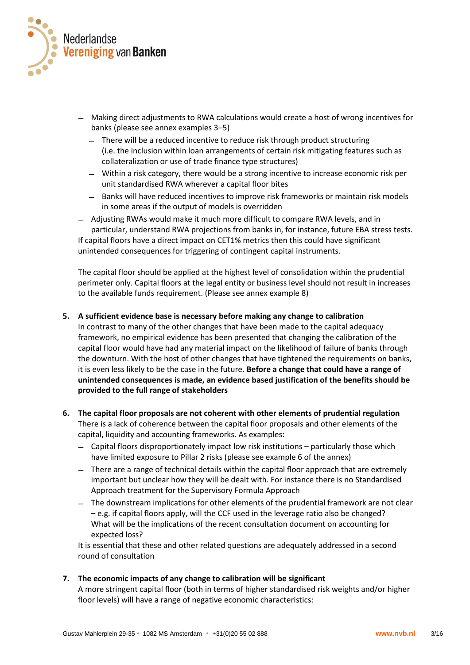

- ̶ Making direct adjustments to RWA calculations would create a host of wrong incentives for banks (please see annex examples 3–5)
	- ̶ There will be a reduced incentive to reduce risk through product structuring (i.e. the inclusion within loan arrangements of certain risk mitigating features such as collateralization or use of trade finance type structures)
	- ̶ Within a risk category, there would be a strong incentive to increase economic risk per unit standardised RWA wherever a capital floor bites
	- ̶ Banks will have reduced incentives to improve risk frameworks or maintain risk models in some areas if the output of models is overridden

̶ Adjusting RWAs would make it much more difficult to compare RWA levels, and in particular, understand RWA projections from banks in, for instance, future EBA stress tests. If capital floors have a direct impact on CET1% metrics then this could have significant unintended consequences for triggering of contingent capital instruments.

The capital floor should be applied at the highest level of consolidation within the prudential perimeter only. Capital floors at the legal entity or business level should not result in increases to the available funds requirement. (Please see annex example 8)

#### **5. A sufficient evidence base is necessary before making any change to calibration**

In contrast to many of the other changes that have been made to the capital adequacy framework, no empirical evidence has been presented that changing the calibration of the capital floor would have had any material impact on the likelihood of failure of banks through the downturn. With the host of other changes that have tightened the requirements on banks, it is even less likely to be the case in the future. **Before a change that could have a range of unintended consequences is made, an evidence based justification of the benefits should be provided to the full range of stakeholders**

- **6. The capital floor proposals are not coherent with other elements of prudential regulation** There is a lack of coherence between the capital floor proposals and other elements of the capital, liquidity and accounting frameworks. As examples:
	- ̶ Capital floors disproportionately impact low risk institutions particularly those which have limited exposure to Pillar 2 risks (please see example 6 of the annex)
	- ̶ There are a range of technical details within the capital floor approach that are extremely important but unclear how they will be dealt with. For instance there is no Standardised Approach treatment for the Supervisory Formula Approach
	- ̶ The downstream implications for other elements of the prudential framework are not clear – e.g. if capital floors apply, will the CCF used in the leverage ratio also be changed? What will be the implications of the recent consultation document on accounting for expected loss?

It is essential that these and other related questions are adequately addressed in a second round of consultation

#### **7. The economic impacts of any change to calibration will be significant**

A more stringent capital floor (both in terms of higher standardised risk weights and/or higher floor levels) will have a range of negative economic characteristics: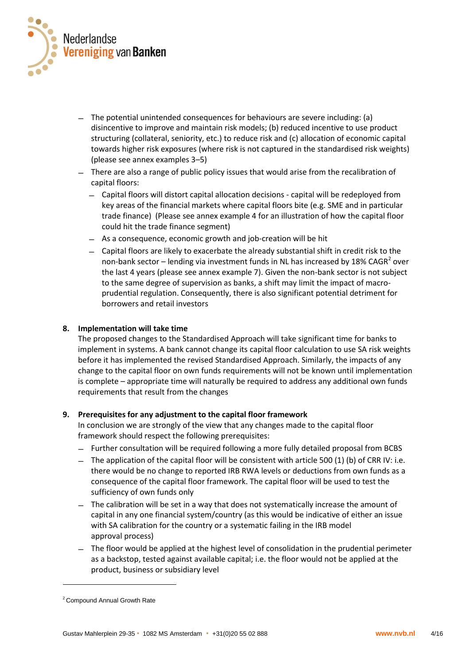

- ̶ The potential unintended consequences for behaviours are severe including: (a) disincentive to improve and maintain risk models; (b) reduced incentive to use product structuring (collateral, seniority, etc.) to reduce risk and (c) allocation of economic capital towards higher risk exposures (where risk is not captured in the standardised risk weights) (please see annex examples 3–5)
- ̶ There are also a range of public policy issues that would arise from the recalibration of capital floors:
	- ̶ Capital floors will distort capital allocation decisions capital will be redeployed from key areas of the financial markets where capital floors bite (e.g. SME and in particular trade finance) (Please see annex example 4 for an illustration of how the capital floor could hit the trade finance segment)
	- ̶ As a consequence, economic growth and job-creation will be hit
	- ̶ Capital floors are likely to exacerbate the already substantial shift in credit risk to the non-bank sector – lending via investment funds in NL has increased by 18% CAGR<sup>2</sup> over the last 4 years (please see annex example 7). Given the non-bank sector is not subject to the same degree of supervision as banks, a shift may limit the impact of macroprudential regulation. Consequently, there is also significant potential detriment for borrowers and retail investors

#### **8. Implementation will take time**

The proposed changes to the Standardised Approach will take significant time for banks to implement in systems. A bank cannot change its capital floor calculation to use SA risk weights before it has implemented the revised Standardised Approach. Similarly, the impacts of any change to the capital floor on own funds requirements will not be known until implementation is complete – appropriate time will naturally be required to address any additional own funds requirements that result from the changes

#### **9. Prerequisites for any adjustment to the capital floor framework**

In conclusion we are strongly of the view that any changes made to the capital floor framework should respect the following prerequisites:

- ̶ Further consultation will be required following a more fully detailed proposal from BCBS
- $-$  The application of the capital floor will be consistent with article 500 (1) (b) of CRR IV: i.e. there would be no change to reported IRB RWA levels or deductions from own funds as a consequence of the capital floor framework. The capital floor will be used to test the sufficiency of own funds only
- ̶ The calibration will be set in a way that does not systematically increase the amount of capital in any one financial system/country (as this would be indicative of either an issue with SA calibration for the country or a systematic failing in the IRB model approval process)
- ̶ The floor would be applied at the highest level of consolidation in the prudential perimeter as a backstop, tested against available capital; i.e. the floor would not be applied at the product, business or subsidiary level

-

<sup>&</sup>lt;sup>2</sup> Compound Annual Growth Rate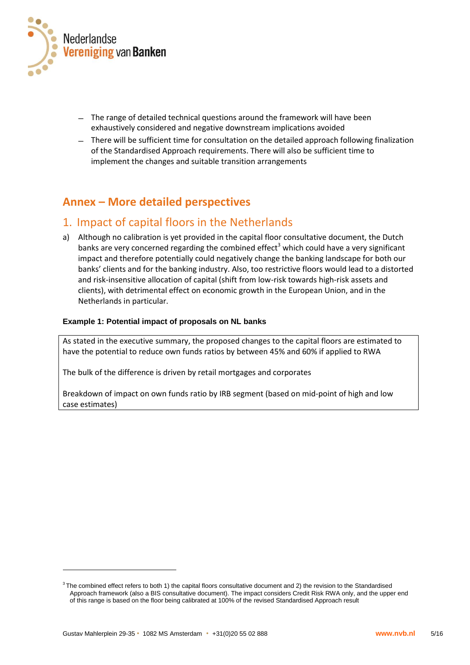

- ̶ The range of detailed technical questions around the framework will have been exhaustively considered and negative downstream implications avoided
- ̶ There will be sufficient time for consultation on the detailed approach following finalization of the Standardised Approach requirements. There will also be sufficient time to implement the changes and suitable transition arrangements

# **Annex – More detailed perspectives**

# 1. Impact of capital floors in the Netherlands

a) Although no calibration is yet provided in the capital floor consultative document, the Dutch banks are very concerned regarding the combined effect<sup>3</sup> which could have a very significant impact and therefore potentially could negatively change the banking landscape for both our banks' clients and for the banking industry. Also, too restrictive floors would lead to a distorted and risk-insensitive allocation of capital (shift from low-risk towards high-risk assets and clients), with detrimental effect on economic growth in the European Union, and in the Netherlands in particular.

### **Example 1: Potential impact of proposals on NL banks**

As stated in the executive summary, the proposed changes to the capital floors are estimated to have the potential to reduce own funds ratios by between 45% and 60% if applied to RWA

The bulk of the difference is driven by retail mortgages and corporates

Breakdown of impact on own funds ratio by IRB segment (based on mid-point of high and low case estimates)

-

 $3$  The combined effect refers to both 1) the capital floors consultative document and 2) the revision to the Standardised Approach framework (also a BIS consultative document). The impact considers Credit Risk RWA only, and the upper end of this range is based on the floor being calibrated at 100% of the revised Standardised Approach result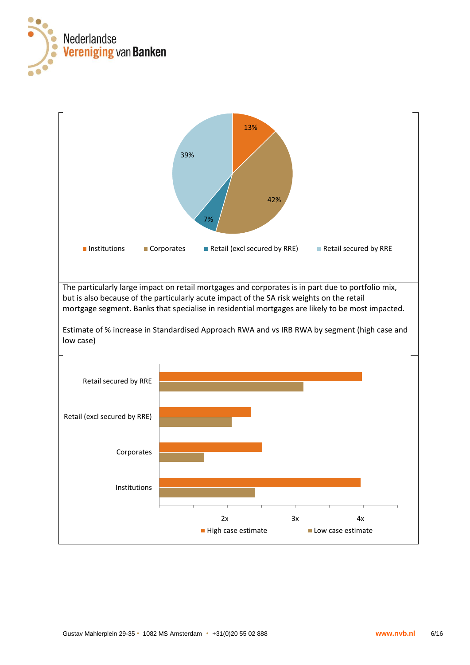

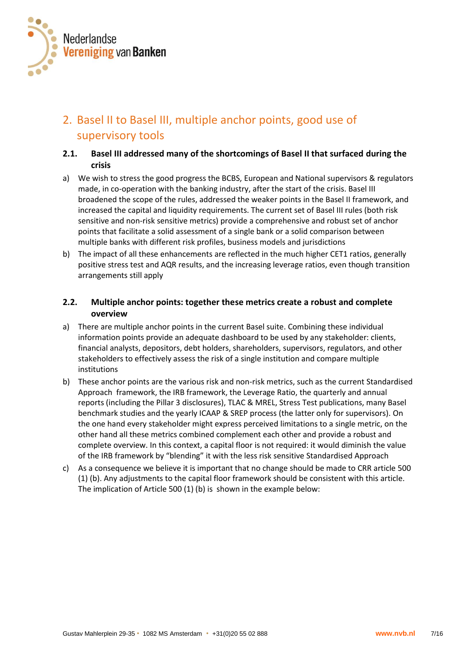

# 2. Basel II to Basel III, multiple anchor points, good use of supervisory tools

# **2.1. Basel III addressed many of the shortcomings of Basel II that surfaced during the crisis**

- a) We wish to stress the good progress the BCBS, European and National supervisors & regulators made, in co-operation with the banking industry, after the start of the crisis. Basel III broadened the scope of the rules, addressed the weaker points in the Basel II framework, and increased the capital and liquidity requirements. The current set of Basel III rules (both risk sensitive and non-risk sensitive metrics) provide a comprehensive and robust set of anchor points that facilitate a solid assessment of a single bank or a solid comparison between multiple banks with different risk profiles, business models and jurisdictions
- b) The impact of all these enhancements are reflected in the much higher CET1 ratios, generally positive stress test and AQR results, and the increasing leverage ratios, even though transition arrangements still apply

# **2.2. Multiple anchor points: together these metrics create a robust and complete overview**

- a) There are multiple anchor points in the current Basel suite. Combining these individual information points provide an adequate dashboard to be used by any stakeholder: clients, financial analysts, depositors, debt holders, shareholders, supervisors, regulators, and other stakeholders to effectively assess the risk of a single institution and compare multiple institutions
- b) These anchor points are the various risk and non-risk metrics, such as the current Standardised Approach framework, the IRB framework, the Leverage Ratio, the quarterly and annual reports (including the Pillar 3 disclosures), TLAC & MREL, Stress Test publications, many Basel benchmark studies and the yearly ICAAP & SREP process (the latter only for supervisors). On the one hand every stakeholder might express perceived limitations to a single metric, on the other hand all these metrics combined complement each other and provide a robust and complete overview. In this context, a capital floor is not required: it would diminish the value of the IRB framework by "blending" it with the less risk sensitive Standardised Approach
- c) As a consequence we believe it is important that no change should be made to CRR article 500 (1) (b). Any adjustments to the capital floor framework should be consistent with this article. The implication of Article 500 (1) (b) is shown in the example below: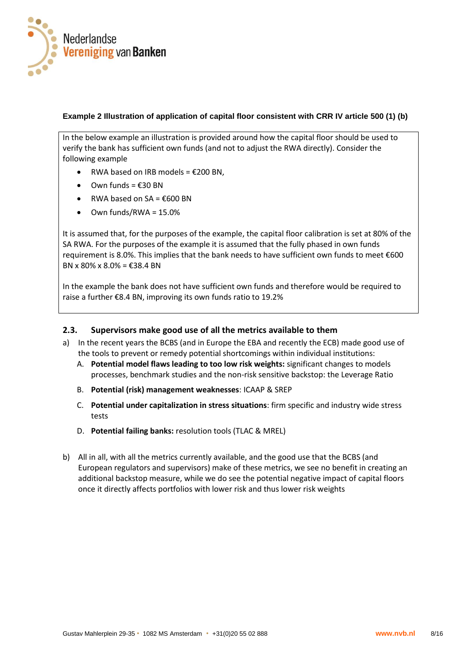

#### **Example 2 Illustration of application of capital floor consistent with CRR IV article 500 (1) (b)**

In the below example an illustration is provided around how the capital floor should be used to verify the bank has sufficient own funds (and not to adjust the RWA directly). Consider the following example

- $\bullet$  RWA based on IRB models = €200 BN.
- Own funds = €30 BN
- RWA based on SA =  $\epsilon$ 600 BN
- Own funds/RWA = 15.0%

It is assumed that, for the purposes of the example, the capital floor calibration is set at 80% of the SA RWA. For the purposes of the example it is assumed that the fully phased in own funds requirement is 8.0%. This implies that the bank needs to have sufficient own funds to meet €600 BN x 80% x 8.0% = €38.4 BN

In the example the bank does not have sufficient own funds and therefore would be required to raise a further €8.4 BN, improving its own funds ratio to 19.2%

### **2.3. Supervisors make good use of all the metrics available to them**

- a) In the recent years the BCBS (and in Europe the EBA and recently the ECB) made good use of the tools to prevent or remedy potential shortcomings within individual institutions:
	- A. **Potential model flaws leading to too low risk weights:** significant changes to models processes, benchmark studies and the non-risk sensitive backstop: the Leverage Ratio
	- B. **Potential (risk) management weaknesses**: ICAAP & SREP
	- C. **Potential under capitalization in stress situations**: firm specific and industry wide stress tests
	- D. **Potential failing banks:** resolution tools (TLAC & MREL)
- b) All in all, with all the metrics currently available, and the good use that the BCBS (and European regulators and supervisors) make of these metrics, we see no benefit in creating an additional backstop measure, while we do see the potential negative impact of capital floors once it directly affects portfolios with lower risk and thus lower risk weights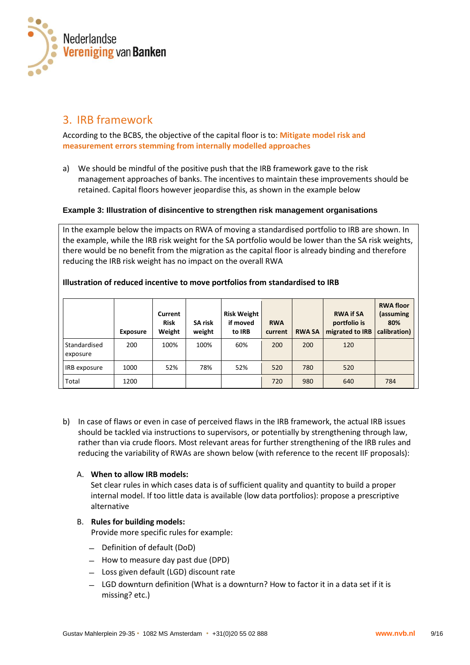

# 3. IRB framework

According to the BCBS, the objective of the capital floor is to: **Mitigate model risk and measurement errors stemming from internally modelled approaches**

a) We should be mindful of the positive push that the IRB framework gave to the risk management approaches of banks. The incentives to maintain these improvements should be retained. Capital floors however jeopardise this, as shown in the example below

#### **Example 3: Illustration of disincentive to strengthen risk management organisations**

In the example below the impacts on RWA of moving a standardised portfolio to IRB are shown. In the example, while the IRB risk weight for the SA portfolio would be lower than the SA risk weights, there would be no benefit from the migration as the capital floor is already binding and therefore reducing the IRB risk weight has no impact on the overall RWA

|                          | <b>Exposure</b> | Current<br><b>Risk</b><br>Weight | <b>SA risk</b><br>weight | <b>Risk Weight</b><br>if moved<br>to IRB | <b>RWA</b><br>current | <b>RWA SA</b> | <b>RWA if SA</b><br>portfolio is<br>migrated to IRB | <b>RWA floor</b><br>(assuming<br>80%<br>calibration) |
|--------------------------|-----------------|----------------------------------|--------------------------|------------------------------------------|-----------------------|---------------|-----------------------------------------------------|------------------------------------------------------|
| Standardised<br>exposure | 200             | 100%                             | 100%                     | 60%                                      | 200                   | 200           | 120                                                 |                                                      |
| IRB exposure             | 1000            | 52%                              | 78%                      | 52%                                      | 520                   | 780           | 520                                                 |                                                      |
| Total                    | 1200            |                                  |                          |                                          | 720                   | 980           | 640                                                 | 784                                                  |

### **Illustration of reduced incentive to move portfolios from standardised to IRB**

b) In case of flaws or even in case of perceived flaws in the IRB framework, the actual IRB issues should be tackled via instructions to supervisors, or potentially by strengthening through law, rather than via crude floors. Most relevant areas for further strengthening of the IRB rules and reducing the variability of RWAs are shown below (with reference to the recent IIF proposals):

#### A. **When to allow IRB models:**

Set clear rules in which cases data is of sufficient quality and quantity to build a proper internal model. If too little data is available (low data portfolios): propose a prescriptive alternative

# B. **Rules for building models:**

Provide more specific rules for example:

- ̶ Definition of default (DoD)
- ̶ How to measure day past due (DPD)
- ̶ Loss given default (LGD) discount rate
- ̶ LGD downturn definition (What is a downturn? How to factor it in a data set if it is missing? etc.)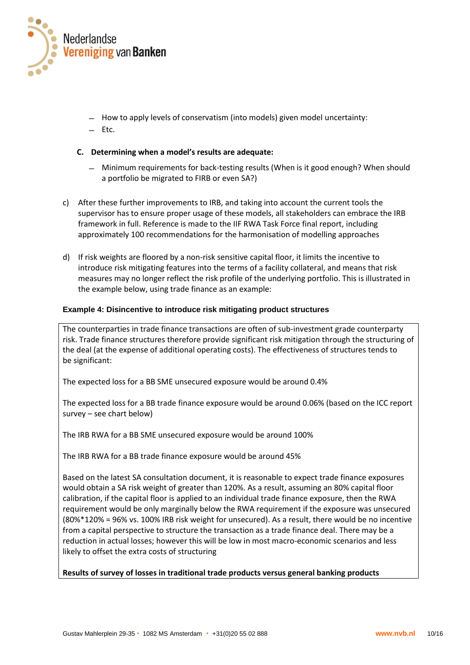

- ̶ How to apply levels of conservatism (into models) given model uncertainty:
- $-$  Ftc.

#### **C. Determining when a model's results are adequate:**

- ̶ Minimum requirements for back-testing results (When is it good enough? When should a portfolio be migrated to FIRB or even SA?)
- c) After these further improvements to IRB, and taking into account the current tools the supervisor has to ensure proper usage of these models, all stakeholders can embrace the IRB framework in full. Reference is made to the IIF RWA Task Force final report, including approximately 100 recommendations for the harmonisation of modelling approaches
- d) If risk weights are floored by a non-risk sensitive capital floor, it limits the incentive to introduce risk mitigating features into the terms of a facility collateral, and means that risk measures may no longer reflect the risk profile of the underlying portfolio. This is illustrated in the example below, using trade finance as an example:

#### **Example 4: Disincentive to introduce risk mitigating product structures**

The counterparties in trade finance transactions are often of sub-investment grade counterparty risk. Trade finance structures therefore provide significant risk mitigation through the structuring of the deal (at the expense of additional operating costs). The effectiveness of structures tends to be significant:

The expected loss for a BB SME unsecured exposure would be around 0.4%

The expected loss for a BB trade finance exposure would be around 0.06% (based on the ICC report survey – see chart below)

The IRB RWA for a BB SME unsecured exposure would be around 100%

The IRB RWA for a BB trade finance exposure would be around 45%

Based on the latest SA consultation document, it is reasonable to expect trade finance exposures would obtain a SA risk weight of greater than 120%. As a result, assuming an 80% capital floor calibration, if the capital floor is applied to an individual trade finance exposure, then the RWA requirement would be only marginally below the RWA requirement if the exposure was unsecured (80%\*120% = 96% vs. 100% IRB risk weight for unsecured). As a result, there would be no incentive from a capital perspective to structure the transaction as a trade finance deal. There may be a reduction in actual losses; however this will be low in most macro-economic scenarios and less likely to offset the extra costs of structuring

**Results of survey of losses in traditional trade products versus general banking products**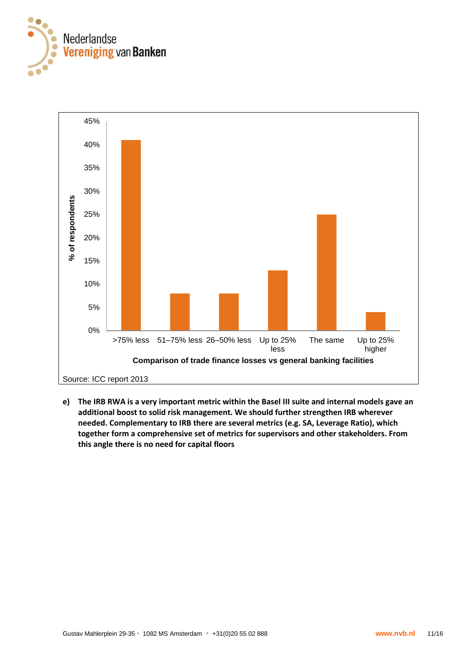



**e) The IRB RWA is a very important metric within the Basel III suite and internal models gave an additional boost to solid risk management. We should further strengthen IRB wherever needed. Complementary to IRB there are several metrics (e.g. SA, Leverage Ratio), which together form a comprehensive set of metrics for supervisors and other stakeholders. From this angle there is no need for capital floors**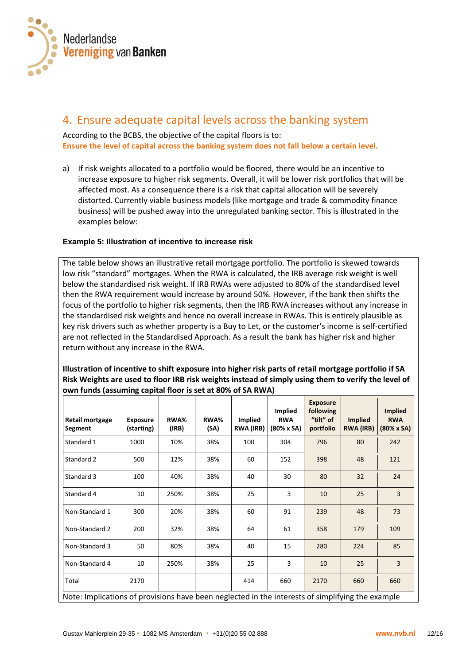

# 4. Ensure adequate capital levels across the banking system

According to the BCBS, the objective of the capital floors is to: **Ensure the level of capital across the banking system does not fall below a certain level.**

a) If risk weights allocated to a portfolio would be floored, there would be an incentive to increase exposure to higher risk segments. Overall, it will be lower risk portfolios that will be affected most. As a consequence there is a risk that capital allocation will be severely distorted. Currently viable business models (like mortgage and trade & commodity finance business) will be pushed away into the unregulated banking sector. This is illustrated in the examples below:

### **Example 5: Illustration of incentive to increase risk**

The table below shows an illustrative retail mortgage portfolio. The portfolio is skewed towards low risk "standard" mortgages. When the RWA is calculated, the IRB average risk weight is well below the standardised risk weight. If IRB RWAs were adjusted to 80% of the standardised level then the RWA requirement would increase by around 50%. However, if the bank then shifts the focus of the portfolio to higher risk segments, then the IRB RWA increases without any increase in the standardised risk weights and hence no overall increase in RWAs. This is entirely plausible as key risk drivers such as whether property is a Buy to Let, or the customer's income is self-certified are not reflected in the Standardised Approach. As a result the bank has higher risk and higher return without any increase in the RWA.

### **Illustration of incentive to shift exposure into higher risk parts of retail mortgage portfolio if SA Risk Weights are used to floor IRB risk weights instead of simply using them to verify the level of own funds (assuming capital floor is set at 80% of SA RWA)**

| Retail mortgage<br>Segment                                                                       | <b>Exposure</b><br>(starting) | RWA%<br>(IRB) | RWA%<br>(SA) | <b>Implied</b><br><b>RWA (IRB)</b> | <b>Implied</b><br><b>RWA</b><br>$(80% \times SA)$ | <b>Exposure</b><br>following<br>"tilt" of<br>portfolio | <b>Implied</b><br><b>RWA (IRB)</b> | <b>Implied</b><br><b>RWA</b><br>$(80% \times SA)$ |
|--------------------------------------------------------------------------------------------------|-------------------------------|---------------|--------------|------------------------------------|---------------------------------------------------|--------------------------------------------------------|------------------------------------|---------------------------------------------------|
| Standard 1                                                                                       | 1000                          | 10%           | 38%          | 100                                | 304                                               | 796                                                    | 80                                 | 242                                               |
| Standard 2                                                                                       | 500                           | 12%           | 38%          | 60                                 | 152                                               | 398                                                    | 48                                 | 121                                               |
| Standard 3                                                                                       | 100                           | 40%           | 38%          | 40                                 | 30                                                | 80                                                     | 32                                 | 24                                                |
| Standard 4                                                                                       | 10                            | 250%          | 38%          | 25                                 | 3                                                 | 10                                                     | 25                                 | 3                                                 |
| Non-Standard 1                                                                                   | 300                           | 20%           | 38%          | 60                                 | 91                                                | 239                                                    | 48                                 | 73                                                |
| Non-Standard 2                                                                                   | 200                           | 32%           | 38%          | 64                                 | 61                                                | 358                                                    | 179                                | 109                                               |
| Non-Standard 3                                                                                   | 50                            | 80%           | 38%          | 40                                 | 15                                                | 280                                                    | 224                                | 85                                                |
| Non-Standard 4                                                                                   | 10                            | 250%          | 38%          | 25                                 | 3                                                 | 10                                                     | 25                                 | $\overline{3}$                                    |
| Total                                                                                            | 2170                          |               |              | 414                                | 660                                               | 2170                                                   | 660                                | 660                                               |
| Note: Implications of provisions have been neglected in the interests of simplifying the example |                               |               |              |                                    |                                                   |                                                        |                                    |                                                   |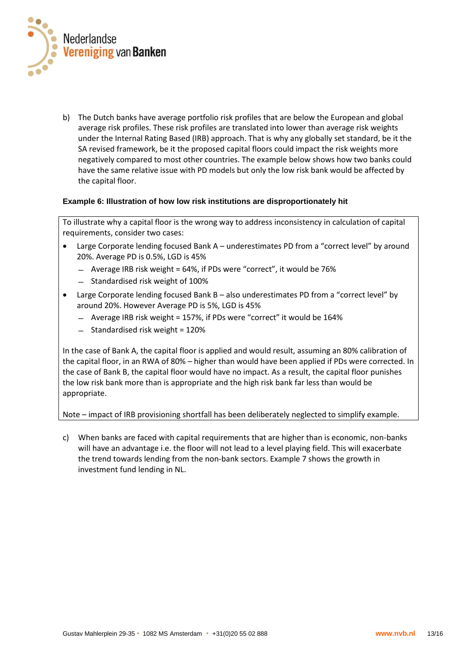

b) The Dutch banks have average portfolio risk profiles that are below the European and global average risk profiles. These risk profiles are translated into lower than average risk weights under the Internal Rating Based (IRB) approach. That is why any globally set standard, be it the SA revised framework, be it the proposed capital floors could impact the risk weights more negatively compared to most other countries. The example below shows how two banks could have the same relative issue with PD models but only the low risk bank would be affected by the capital floor.

#### **Example 6: Illustration of how low risk institutions are disproportionately hit**

To illustrate why a capital floor is the wrong way to address inconsistency in calculation of capital requirements, consider two cases:

- Large Corporate lending focused Bank A underestimates PD from a "correct level" by around 20%. Average PD is 0.5%, LGD is 45%
	- ̶ Average IRB risk weight = 64%, if PDs were "correct", it would be 76%
	- ̶ Standardised risk weight of 100%
- Large Corporate lending focused Bank B also underestimates PD from a "correct level" by around 20%. However Average PD is 5%, LGD is 45%
	- ̶ Average IRB risk weight = 157%, if PDs were "correct" it would be 164%
	- ̶ Standardised risk weight = 120%

In the case of Bank A, the capital floor is applied and would result, assuming an 80% calibration of the capital floor, in an RWA of 80% – higher than would have been applied if PDs were corrected. In the case of Bank B, the capital floor would have no impact. As a result, the capital floor punishes the low risk bank more than is appropriate and the high risk bank far less than would be appropriate.

Note – impact of IRB provisioning shortfall has been deliberately neglected to simplify example.

c) When banks are faced with capital requirements that are higher than is economic, non-banks will have an advantage i.e. the floor will not lead to a level playing field. This will exacerbate the trend towards lending from the non-bank sectors. Example 7 shows the growth in investment fund lending in NL.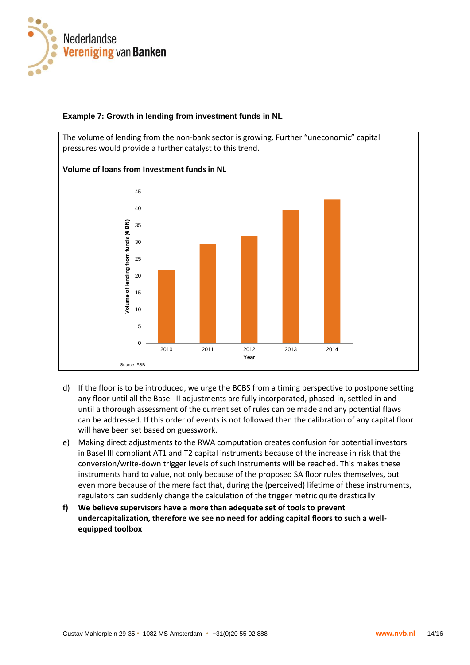

### **Example 7: Growth in lending from investment funds in NL**

The volume of lending from the non-bank sector is growing. Further "uneconomic" capital pressures would provide a further catalyst to this trend.



#### **Volume of loans from Investment funds in NL**

- d) If the floor is to be introduced, we urge the BCBS from a timing perspective to postpone setting any floor until all the Basel III adjustments are fully incorporated, phased-in, settled-in and until a thorough assessment of the current set of rules can be made and any potential flaws can be addressed. If this order of events is not followed then the calibration of any capital floor will have been set based on guesswork.
- e) Making direct adjustments to the RWA computation creates confusion for potential investors in Basel III compliant AT1 and T2 capital instruments because of the increase in risk that the conversion/write-down trigger levels of such instruments will be reached. This makes these instruments hard to value, not only because of the proposed SA floor rules themselves, but even more because of the mere fact that, during the (perceived) lifetime of these instruments, regulators can suddenly change the calculation of the trigger metric quite drastically
- **f) We believe supervisors have a more than adequate set of tools to prevent undercapitalization, therefore we see no need for adding capital floors to such a wellequipped toolbox**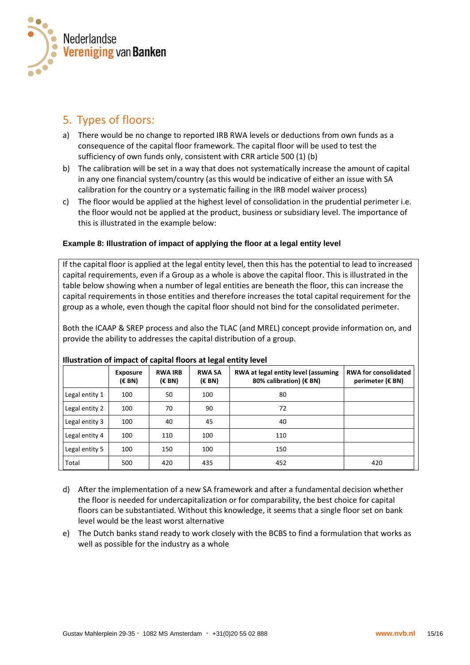

# 5. Types of floors:

- a) There would be no change to reported IRB RWA levels or deductions from own funds as a consequence of the capital floor framework. The capital floor will be used to test the sufficiency of own funds only, consistent with CRR article 500 (1) (b)
- b) The calibration will be set in a way that does not systematically increase the amount of capital in any one financial system/country (as this would be indicative of either an issue with SA calibration for the country or a systematic failing in the IRB model waiver process)
- c) The floor would be applied at the highest level of consolidation in the prudential perimeter i.e. the floor would not be applied at the product, business or subsidiary level. The importance of this is illustrated in the example below:

# **Example 8: Illustration of impact of applying the floor at a legal entity level**

If the capital floor is applied at the legal entity level, then this has the potential to lead to increased capital requirements, even if a Group as a whole is above the capital floor. This is illustrated in the table below showing when a number of legal entities are beneath the floor, this can increase the capital requirements in those entities and therefore increases the total capital requirement for the group as a whole, even though the capital floor should not bind for the consolidated perimeter.

Both the ICAAP & SREP process and also the TLAC (and MREL) concept provide information on, and provide the ability to addresses the capital distribution of a group.

|                | <b>Exposure</b><br>(EBN) | <b>RWA IRB</b><br>(EBN) | <b>RWA SA</b><br>(EBN) | RWA at legal entity level (assuming<br>80% calibration) (€ BN) | <b>RWA for consolidated</b><br>perimeter (€ BN) |
|----------------|--------------------------|-------------------------|------------------------|----------------------------------------------------------------|-------------------------------------------------|
| Legal entity 1 | 100                      | 50                      | 100                    | 80                                                             |                                                 |
| Legal entity 2 | 100                      | 70                      | 90                     | 72                                                             |                                                 |
| Legal entity 3 | 100                      | 40                      | 45                     | 40                                                             |                                                 |
| Legal entity 4 | 100                      | 110                     | 100                    | 110                                                            |                                                 |
| Legal entity 5 | 100                      | 150                     | 100                    | 150                                                            |                                                 |
| Total          | 500                      | 420                     | 435                    | 452                                                            | 420                                             |

#### **Illustration of impact of capital floors at legal entity level**

- d) After the implementation of a new SA framework and after a fundamental decision whether the floor is needed for undercapitalization or for comparability, the best choice for capital floors can be substantiated. Without this knowledge, it seems that a single floor set on bank level would be the least worst alternative
- e) The Dutch banks stand ready to work closely with the BCBS to find a formulation that works as well as possible for the industry as a whole